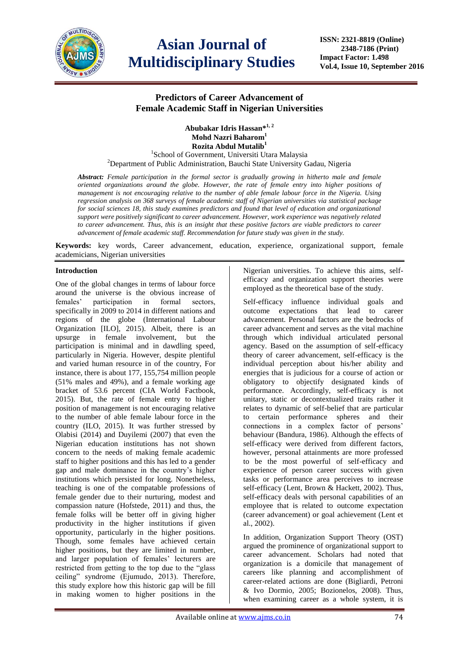

# **Asian Journal of Multidisciplinary Studies**

**ISSN: 2321-8819 (Online) 2348-7186 (Print) Impact Factor: 1.498 Vol.4, Issue 10, September 2016**

# **Predictors of Career Advancement of Female Academic Staff in Nigerian Universities**

**Abubakar Idris Hassan\*1, 2 Mohd Nazri Baharom<sup>1</sup> Rozita Abdul Mutalib<sup>1</sup>** <sup>1</sup>School of Government, Universiti Utara Malaysia

<sup>2</sup>Department of Public Administration, Bauchi State University Gadau, Nigeria

*Abstract: Female participation in the formal sector is gradually growing in hitherto male and female oriented organizations around the globe. However, the rate of female entry into higher positions of management is not encouraging relative to the number of able female labour force in the Nigeria. Using regression analysis on 368 surveys of female academic staff of Nigerian universities via statistical package for social sciences 18, this study examines predictors and found that level of education and organizational support were positively significant to career advancement. However, work experience was negatively related to career advancement. Thus, this is an insight that these positive factors are viable predictors to career advancement of female academic staff. Recommendation for future study was given in the study.*

**Keywords:** key words, Career advancement, education, experience, organizational support, female academicians, Nigerian universities

# **Introduction**

One of the global changes in terms of labour force around the universe is the obvious increase of females' participation in formal sectors, specifically in 2009 to 2014 in different nations and regions of the globe (International Labour Organization [ILO], 2015). Albeit, there is an upsurge in female involvement, but the participation is minimal and in dawdling speed, particularly in Nigeria. However, despite plentiful and varied human resource in of the country, For instance, there is about 177, 155,754 million people (51% males and 49%), and a female working age bracket of 53.6 percent (CIA World Factbook, 2015). But, the rate of female entry to higher position of management is not encouraging relative to the number of able female labour force in the country (ILO, 2015). It was further stressed by Olabisi (2014) and Duyilemi (2007) that even the Nigerian education institutions has not shown concern to the needs of making female academic staff to higher positions and this has led to a gender gap and male dominance in the country's higher institutions which persisted for long. Nonetheless, teaching is one of the compatable professions of female gender due to their nurturing, modest and compassion nature (Hofstede, 2011) and thus, the female folks will be better off in giving higher productivity in the higher institutions if given opportunity, particularly in the higher positions. Though, some females have achieved certain higher positions, but they are limited in number, and larger population of females' lecturers are restricted from getting to the top due to the "glass ceiling" syndrome (Ejumudo, 2013). Therefore, this study explore how this historic gap will be fill in making women to higher positions in the

Nigerian universities. To achieve this aims, selfefficacy and organization support theories were employed as the theoretical base of the study.

Self-efficacy influence individual goals and outcome expectations that lead to career advancement. Personal factors are the bedrocks of career advancement and serves as the vital machine through which individual articulated personal agency. Based on the assumption of self-efficacy theory of career advancement, self-efficacy is the individual perception about his/her ability and energies that is judicious for a course of action or obligatory to objectify designated kinds of performance. Accordingly, self-efficacy is not unitary, static or decontextualized traits rather it relates to dynamic of self-belief that are particular to certain performance spheres and their connections in a complex factor of persons' behaviour (Bandura, 1986). Although the effects of self-efficacy were derived from different factors, however, personal attainments are more professed to be the most powerful of self-efficacy and experience of person career success with given tasks or performance area perceives to increase self-efficacy (Lent, Brown & Hackett, 2002). Thus, self-efficacy deals with personal capabilities of an employee that is related to outcome expectation (career advancement) or goal achievement (Lent et al., 2002).

In addition, Organization Support Theory (OST) argued the prominence of organizational support to career advancement. Scholars had noted that organization is a domicile that management of careers like planning and accomplishment of career-related actions are done (Bigliardi, Petroni & Ivo Dormio, 2005; Bozionelos, 2008). Thus, when examining career as a whole system, it is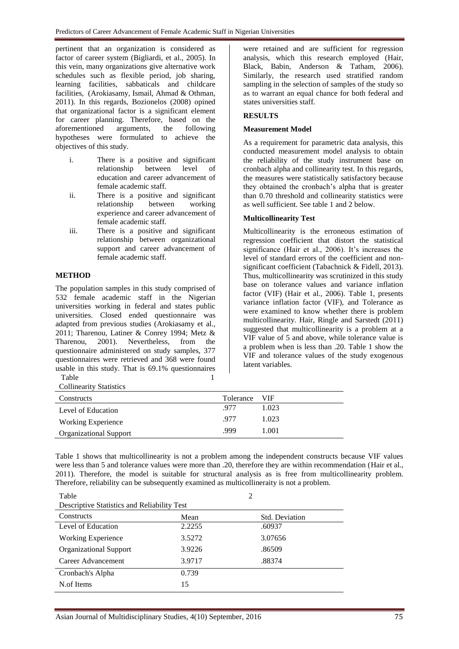pertinent that an organization is considered as factor of career system (Bigliardi, et al., 2005). In this vein, many organizations give alternative work schedules such as flexible period, job sharing, learning facilities, sabbaticals and childcare facilities, (Arokiasamy, Ismail, Ahmad & Othman, 2011). In this regards, Bozionelos (2008) opined that organizational factor is a significant element for career planning. Therefore, based on the aforementioned arguments, the following arguments, the following hypotheses were formulated to achieve the objectives of this study.

- i. There is a positive and significant relationship between level of education and career advancement of female academic staff.
- ii. There is a positive and significant relationship between working experience and career advancement of female academic staff.
- iii. There is a positive and significant relationship between organizational support and career advancement of female academic staff.

## **METHOD**

The population samples in this study comprised of 532 female academic staff in the Nigerian universities working in federal and states public universities. Closed ended questionnaire was adapted from previous studies (Arokiasamy et al., 2011; Tharenou, Latiner & Conrey 1994; Metz & Tharenou, 2001). Nevertheless, from the questionnaire administered on study samples, 377 questionnaires were retrieved and 368 were found usable in this study. That is 69.1% questionnaires Table 1

Collinearity Statistics

were retained and are sufficient for regression analysis, which this research employed (Hair, Black, Babin, Anderson & Tatham, 2006). Similarly, the research used stratified random sampling in the selection of samples of the study so as to warrant an equal chance for both federal and states universities staff.

## **RESULTS**

#### **Measurement Model**

As a requirement for parametric data analysis, this conducted measurement model analysis to obtain the reliability of the study instrument base on cronbach alpha and collinearity test. In this regards, the measures were statistically satisfactory because they obtained the cronbach's alpha that is greater than 0.70 threshold and collinearity statistics were as well sufficient. See table 1 and 2 below.

## **Multicollinearity Test**

Multicollinearity is the erroneous estimation of regression coefficient that distort the statistical significance (Hair et al., 2006). It's increases the level of standard errors of the coefficient and nonsignificant coefficient (Tabachnick & Fidell, 2013). Thus, multicollinearity was scrutinized in this study base on tolerance values and variance inflation factor (VIF) (Hair et al., 2006). Table 1, presents variance inflation factor (VIF), and Tolerance as were examined to know whether there is problem multicollinearity. Hair, Ringle and Sarstedt (2011) suggested that multicollinearity is a problem at a VIF value of 5 and above, while tolerance value is a problem when is less than .20. Table 1 show the VIF and tolerance values of the study exogenous latent variables.

| Constructs                    | Tolerance | – VIF |
|-------------------------------|-----------|-------|
| Level of Education            | .977      | 1.023 |
| Working Experience            | .977      | 1.023 |
| <b>Organizational Support</b> | -999      | 1.001 |

Table 1 shows that multicollinearity is not a problem among the independent constructs because VIF values were less than 5 and tolerance values were more than .20, therefore they are within recommendation (Hair et al., 2011). Therefore, the model is suitable for structural analysis as is free from multicollinearity problem. Therefore, reliability can be subsequently examined as multicollineraity is not a problem.

| Table                                              | 2      |                       |  |  |  |  |  |
|----------------------------------------------------|--------|-----------------------|--|--|--|--|--|
| <b>Descriptive Statistics and Reliability Test</b> |        |                       |  |  |  |  |  |
| Constructs                                         | Mean   | <b>Std. Deviation</b> |  |  |  |  |  |
| Level of Education                                 | 2.2255 | .60937                |  |  |  |  |  |
| <b>Working Experience</b>                          | 3.5272 | 3.07656               |  |  |  |  |  |
| <b>Organizational Support</b>                      | 3.9226 | .86509                |  |  |  |  |  |
| Career Advancement                                 | 3.9717 | .88374                |  |  |  |  |  |
| Cronbach's Alpha                                   | 0.739  |                       |  |  |  |  |  |
| N.of Items                                         | 15     |                       |  |  |  |  |  |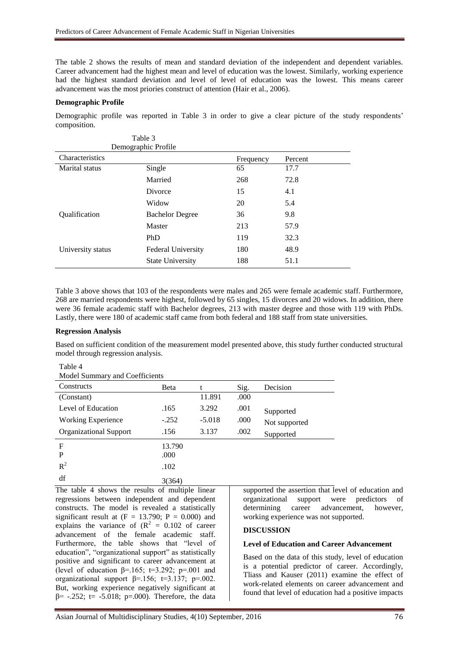Table 3

The table 2 shows the results of mean and standard deviation of the independent and dependent variables. Career advancement had the highest mean and level of education was the lowest. Similarly, working experience had the highest standard deviation and level of level of education was the lowest. This means career advancement was the most priories construct of attention (Hair et al., 2006).

## **Demographic Profile**

Demographic profile was reported in Table 3 in order to give a clear picture of the study respondents' composition.

|                   | t avit J<br>Demographic Profile |           |         |
|-------------------|---------------------------------|-----------|---------|
| Characteristics   |                                 | Frequency | Percent |
| Marital status    | Single                          | 65        | 17.7    |
|                   | Married                         | 268       | 72.8    |
|                   | Divorce                         | 15        | 4.1     |
|                   | Widow                           | 20        | 5.4     |
| Qualification     | <b>Bachelor Degree</b>          | 36        | 9.8     |
|                   | Master                          | 213       | 57.9    |
|                   | PhD                             | 119       | 32.3    |
| University status | <b>Federal University</b>       | 180       | 48.9    |
|                   | <b>State University</b>         | 188       | 51.1    |

Table 3 above shows that 103 of the respondents were males and 265 were female academic staff. Furthermore, 268 are married respondents were highest, followed by 65 singles, 15 divorces and 20 widows. In addition, there were 36 female academic staff with Bachelor degrees, 213 with master degree and those with 119 with PhDs. Lastly, there were 180 of academic staff came from both federal and 188 staff from state universities.

#### **Regression Analysis**

Table 4

Based on sufficient condition of the measurement model presented above, this study further conducted structural model through regression analysis.

| Model Summary and Coefficients |         |          |      |               |  |  |
|--------------------------------|---------|----------|------|---------------|--|--|
| Constructs                     | Beta    | t        | Sig. | Decision      |  |  |
| (Constant)                     |         | 11.891   | .000 |               |  |  |
| Level of Education             | .165    | 3.292    | .001 | Supported     |  |  |
| <b>Working Experience</b>      | $-.252$ | $-5.018$ | .000 | Not supported |  |  |
| <b>Organizational Support</b>  | .156    | 3.137    | .002 | Supported     |  |  |
| $\mathbf F$                    | 13.790  |          |      |               |  |  |
| P                              | .000    |          |      |               |  |  |
| $R^2$                          | .102    |          |      |               |  |  |
| df                             | 3(364)  |          |      |               |  |  |

Model Summary and Coefficients

The table 4 shows the results of multiple linear regressions between independent and dependent constructs. The model is revealed a statistically significant result at  $(F = 13.790; P = 0.000)$  and explains the variance of  $(R^2 = 0.102)$  of career advancement of the female academic staff. Furthermore, the table shows that "level of education", "organizational support" as statistically positive and significant to career advancement at (level of education  $\beta$ =.165; t=3.292; p=.001 and organizational support  $\beta$ =.156; t=3.137; p=.002. But, working experience negatively significant at  $β = -.252$ ; t= -5.018; p=.000). Therefore, the data

supported the assertion that level of education and organizational support were predictors of determining career advancement, however, working experience was not supported.

#### **DISCUSSION**

#### **Level of Education and Career Advancement**

Based on the data of this study, level of education is a potential predictor of career. Accordingly, Tliass and Kauser (2011) examine the effect of work-related elements on career advancement and found that level of education had a positive impacts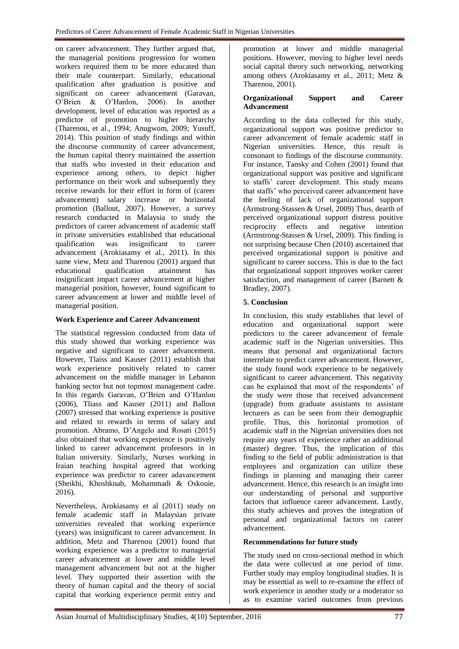on career advancement. They further argued that, the managerial positions progression for women workers required them to be more educated than their male counterpart. Similarly, educational qualification after graduation is positive and significant on career advancement (Garavan, O'Brien & O'Hanlon, 2006). In another development, level of education was reported as a predictor of promotion to higher hierarchy (Tharenou, et al., 1994; Anugwom, 2009; Yusuff, 2014). This position of study findings and within the discourse community of career advancement, the human capital theory maintained the assertion that staffs who invested in their education and experience among others, to depict higher performance on their work and subsequently they receive rewards for their effort in form of (career advancement) salary increase or horizontal promotion (Ballout, 2007). However, a survey research conducted in Malaysia to study the predictors of career advancement of academic staff in private universities established that educational qualification was insignificant to career advancement (Arokiasamy et al., 2011). In this same view, Metz and Tharenou (2001) argued that educational qualification attainment has insignificant impact career advancement at higher managerial position, however, found significant to career advancement at lower and middle level of managerial position.

# **Work Experience and Career Advancement**

The statistical regression conducted from data of this study showed that working experience was negative and significant to career advancement. However, Tlaiss and Kauser (2011) establish that work experience positively related to career advancement on the middle manager in Lebanon banking sector but not topmost management cadre. In this regards Garavan, O'Brien and O'Hanlon (2006), Tliass and Kauser (2011) and Ballout (2007) stressed that working experience is positive and related to rewards in terms of salary and promotion. Abramo, D'Angelo and Rosati (2015) also obtained that working experience is positively linked to career advancement profeesors in in Italian university. Similarly, Nurses working in Iraian teaching hospital agreed that working experience was predictor to career adavancement (Sheikhi, Khoshknab, Mohammadi & Oskouie, 2016).

Nevertheless, Arokiasamy et al (2011) study on female academic staff in Malaysian private universities revealed that working experience (years) was insignificant to career advancement. In addition, Metz and Tharenou (2001) found that working experience was a predictor to managerial career advancement at lower and middle level management advancement but not at the higher level. They supported their assertion with the theory of human capital and the theory of social capital that working experience permit entry and

promotion at lower and middle managerial positions. However, moving to higher level needs social capital theory such networking, networking among others (Arokiasamy et al., 2011; Metz & Tharenou, 2001).

# **Organizational Support and Career Advancement**

According to the data collected for this study, organizational support was positive predictor to career advancement of female academic staff in Nigerian universities. Hence, this result is consonant to findings of the discourse community. For instance, Tansky and Cohen (2001) found that organizational support was positive and significant to staffs' career development. This study means that staffs' who perceived career advancement have the feeling of lack of organizational support (Armstrong-Stassen & Ursel, 2009) Thus, dearth of perceived organizational support distress positive reciprocity effects and negative intention (Armstrong-Stassen & Ursel, 2009). This finding is not surprising because Chen (2010) ascertained that perceived organizational support is positive and significant to career success. This is due to the fact that organizational support improves worker career satisfaction, and management of career (Barnett & Bradley, 2007).

# **5. Conclusion**

In conclusion, this study establishes that level of education and organizational support were predictors to the career advancement of female academic staff in the Nigerian universities. This means that personal and organizational factors interrelate to predict career advancement. However, the study found work experience to be negatively significant to career advancement. This negativity can be explained that most of the respondents' of the study were those that received advancement (upgrade) from graduate assistants to assistant lecturers as can be seen from their demographic profile. Thus, this horizontal promotion of academic staff in the Nigerian universities does not require any years of experience rather an additional (master) degree. Thus, the implication of this finding to the field of public administration is that employees and organization can utilize these findings in planning and managing their career advancement. Hence, this research is an insight into our understanding of personal and supportive factors that influence career advancement. Lastly, this study achieves and proves the integration of personal and organizational factors on career advancement.

# **Recommendations for future study**

The study used on cross-sectional method in which the data were collected at one period of time. Further study may employ longitudinal studies. It is may be essential as well to re-examine the effect of work experience in another study or a moderator so as to examine varied outcomes from previous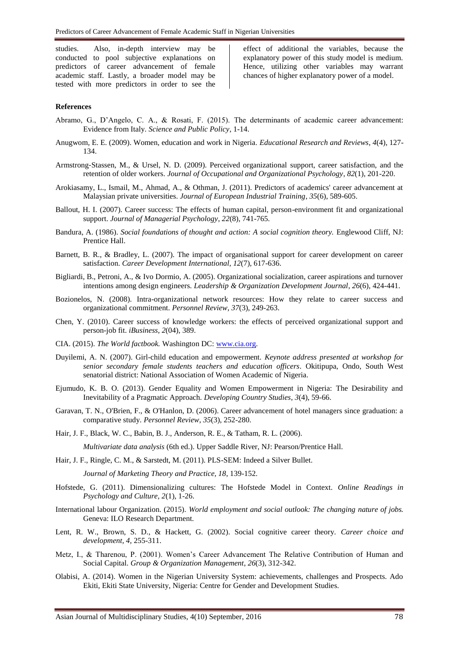studies. Also, in-depth interview may be conducted to pool subjective explanations on predictors of career advancement of female academic staff. Lastly, a broader model may be tested with more predictors in order to see the

effect of additional the variables, because the explanatory power of this study model is medium. Hence, utilizing other variables may warrant chances of higher explanatory power of a model.

# **References**

- Abramo, G., D'Angelo, C. A., & Rosati, F. (2015). The determinants of academic career advancement: Evidence from Italy. *Science and Public Policy*, 1-14.
- Anugwom, E. E. (2009). Women, education and work in Nigeria. *Educational Research and Reviews*, *4*(4), 127- 134.
- Armstrong‐Stassen, M., & Ursel, N. D. (2009). Perceived organizational support, career satisfaction, and the retention of older workers. *Journal of Occupational and Organizational Psychology*, *82*(1), 201-220.
- Arokiasamy, L., Ismail, M., Ahmad, A., & Othman, J. (2011). Predictors of academics' career advancement at Malaysian private universities. *Journal of European Industrial Training*, *35*(6), 589-605.
- Ballout, H. I. (2007). Career success: The effects of human capital, person-environment fit and organizational support. *Journal of Managerial Psychology*, *22*(8), 741-765.
- Bandura, A. (1986). *Social foundations of thought and action: A social cognition theory.* Englewood Cliff, NJ: Prentice Hall.
- Barnett, B. R., & Bradley, L. (2007). The impact of organisational support for career development on career satisfaction. *Career Development International*, *12*(7), 617-636.
- Bigliardi, B., Petroni, A., & Ivo Dormio, A. (2005). Organizational socialization, career aspirations and turnover intentions among design engineers. *Leadership & Organization Development Journal*, *26*(6), 424-441.
- Bozionelos, N. (2008). Intra-organizational network resources: How they relate to career success and organizational commitment. *Personnel Review*, *37*(3), 249-263.
- Chen, Y. (2010). Career success of knowledge workers: the effects of perceived organizational support and person-job fit. *iBusiness*, *2*(04), 389.
- CIA. (2015). *The World factbook.* Washington DC: [www.cia.org.](http://www.cia.org/)
- Duyilemi, A. N. (2007). Girl-child education and empowerment. *Keynote address presented at workshop for senior secondary female students teachers and education officers*. Okitipupa, Ondo, South West senatorial district: National Association of Women Academic of Nigeria.
- Ejumudo, K. B. O. (2013). Gender Equality and Women Empowerment in Nigeria: The Desirability and Inevitability of a Pragmatic Approach. *Developing Country Studies*, *3*(4), 59-66.
- Garavan, T. N., O'Brien, F., & O'Hanlon, D. (2006). Career advancement of hotel managers since graduation: a comparative study. *Personnel Review*, *35*(3), 252-280.
- Hair, J. F., Black, W. C., Babin, B. J., Anderson, R. E., & Tatham, R. L. (2006).

*Multivariate data analysis* (6th ed.). Upper Saddle River, NJ: Pearson/Prentice Hall.

Hair, J. F., Ringle, C. M., & Sarstedt, M. (2011). PLS-SEM: Indeed a Silver Bullet.

*Journal of Marketing Theory and Practice, 18*, 139-152.

- Hofstede, G. (2011). Dimensionalizing cultures: The Hofstede Model in Context. *Online Readings in Psychology and Culture, 2*(1), 1-26.
- International labour Organization. (2015). *World employment and social outlook: The changing nature of jobs.* Geneva: ILO Research Department.
- Lent, R. W., Brown, S. D., & Hackett, G. (2002). Social cognitive career theory. *Career choice and development*, *4*, 255-311.
- Metz, I., & Tharenou, P. (2001). Women's Career Advancement The Relative Contribution of Human and Social Capital. *Group & Organization Management*, *26*(3), 312-342.
- Olabisi, A. (2014). Women in the Nigerian University System: achievements, challenges and Prospects. Ado Ekiti, Ekiti State University, Nigeria: Centre for Gender and Development Studies.